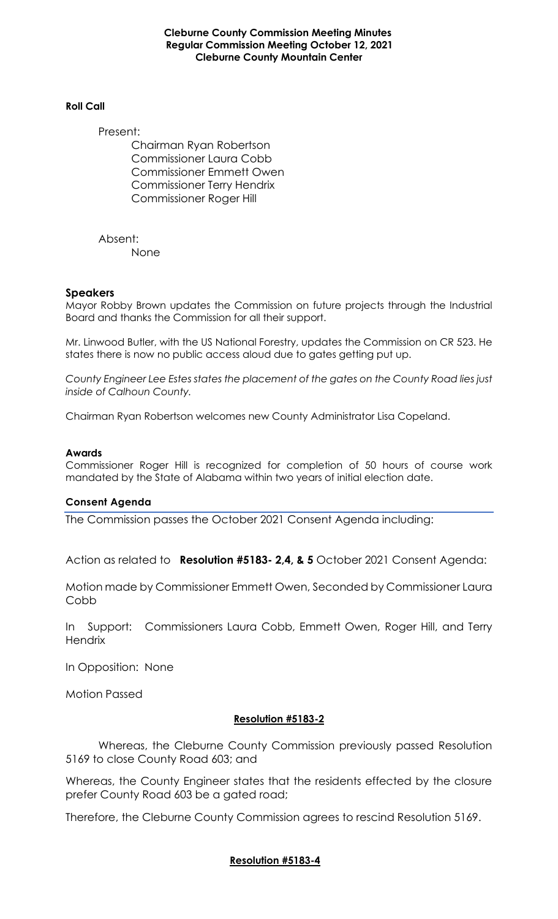**Cleburne County Commission Meeting Minutes Regular Commission Meeting October 12, 2021 Cleburne County Mountain Center**

#### **Roll Call**

Present:

Chairman Ryan Robertson Commissioner Laura Cobb Commissioner Emmett Owen Commissioner Terry Hendrix Commissioner Roger Hill

Absent: None

### **Speakers**

Mayor Robby Brown updates the Commission on future projects through the Industrial Board and thanks the Commission for all their support.

Mr. Linwood Butler, with the US National Forestry, updates the Commission on CR 523. He states there is now no public access aloud due to gates getting put up.

*County Engineer Lee Estes states the placement of the gates on the County Road lies just inside of Calhoun County.*

Chairman Ryan Robertson welcomes new County Administrator Lisa Copeland.

### **Awards**

Commissioner Roger Hill is recognized for completion of 50 hours of course work mandated by the State of Alabama within two years of initial election date.

### **Consent Agenda**

The Commission passes the October 2021 Consent Agenda including:

Action as related to **Resolution #5183- 2,4, & 5** October 2021 Consent Agenda:

Motion made by Commissioner Emmett Owen, Seconded by Commissioner Laura Cobb

In Support: Commissioners Laura Cobb, Emmett Owen, Roger Hill, and Terry **Hendrix** 

In Opposition: None

Motion Passed

### **Resolution #5183-2**

Whereas, the Cleburne County Commission previously passed Resolution 5169 to close County Road 603; and

Whereas, the County Engineer states that the residents effected by the closure prefer County Road 603 be a gated road;

Therefore, the Cleburne County Commission agrees to rescind Resolution 5169.

### **Resolution #5183-4**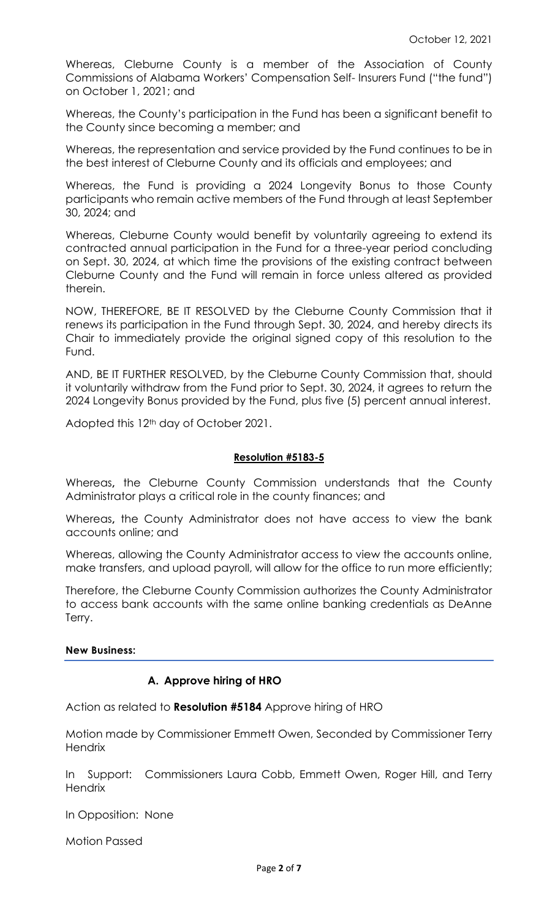Whereas, Cleburne County is a member of the Association of County Commissions of Alabama Workers' Compensation Self- Insurers Fund ("the fund") on October 1, 2021; and

Whereas, the County's participation in the Fund has been a significant benefit to the County since becoming a member; and

Whereas, the representation and service provided by the Fund continues to be in the best interest of Cleburne County and its officials and employees; and

Whereas, the Fund is providing a 2024 Longevity Bonus to those County participants who remain active members of the Fund through at least September 30, 2024; and

Whereas, Cleburne County would benefit by voluntarily agreeing to extend its contracted annual participation in the Fund for a three-year period concluding on Sept. 30, 2024, at which time the provisions of the existing contract between Cleburne County and the Fund will remain in force unless altered as provided therein.

NOW, THEREFORE, BE IT RESOLVED by the Cleburne County Commission that it renews its participation in the Fund through Sept. 30, 2024, and hereby directs its Chair to immediately provide the original signed copy of this resolution to the Fund.

AND, BE IT FURTHER RESOLVED, by the Cleburne County Commission that, should it voluntarily withdraw from the Fund prior to Sept. 30, 2024, it agrees to return the 2024 Longevity Bonus provided by the Fund, plus five (5) percent annual interest.

Adopted this 12<sup>th</sup> day of October 2021.

## **Resolution #5183-5**

Whereas**,** the Cleburne County Commission understands that the County Administrator plays a critical role in the county finances; and

Whereas**,** the County Administrator does not have access to view the bank accounts online; and

Whereas, allowing the County Administrator access to view the accounts online, make transfers, and upload payroll, will allow for the office to run more efficiently;

Therefore, the Cleburne County Commission authorizes the County Administrator to access bank accounts with the same online banking credentials as DeAnne Terry.

### **New Business:**

# **A. Approve hiring of HRO**

Action as related to **Resolution #5184** Approve hiring of HRO

Motion made by Commissioner Emmett Owen, Seconded by Commissioner Terry **Hendrix** 

In Support: Commissioners Laura Cobb, Emmett Owen, Roger Hill, and Terry **Hendrix** 

In Opposition: None

Motion Passed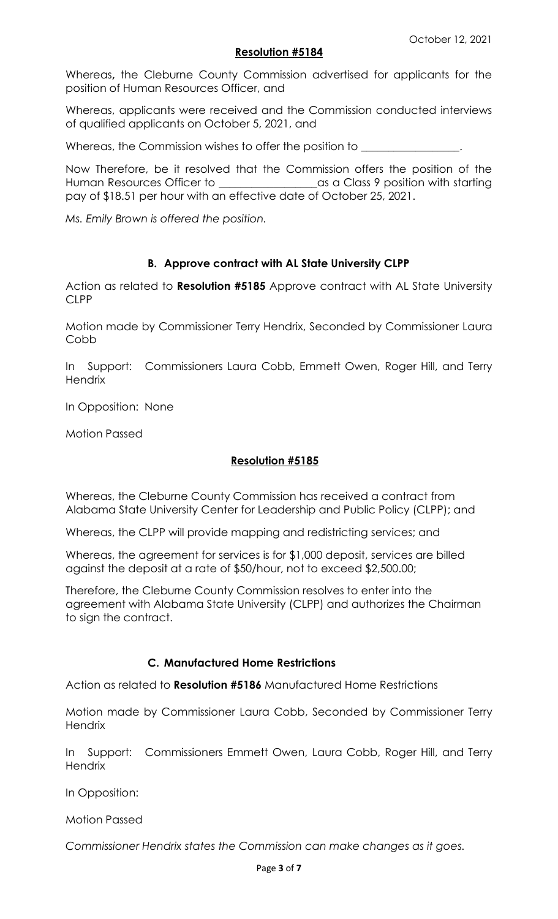# **Resolution #5184**

Whereas**,** the Cleburne County Commission advertised for applicants for the position of Human Resources Officer, and

Whereas, applicants were received and the Commission conducted interviews of qualified applicants on October 5, 2021, and

Whereas, the Commission wishes to offer the position to

Now Therefore, be it resolved that the Commission offers the position of the Human Resources Officer to \_\_\_\_\_\_\_\_\_\_\_\_\_\_\_\_\_\_as a Class 9 position with starting pay of \$18.51 per hour with an effective date of October 25, 2021.

*Ms. Emily Brown is offered the position.*

# **B. Approve contract with AL State University CLPP**

Action as related to **Resolution #5185** Approve contract with AL State University CLPP

Motion made by Commissioner Terry Hendrix, Seconded by Commissioner Laura Cobb

In Support: Commissioners Laura Cobb, Emmett Owen, Roger Hill, and Terry **Hendrix** 

In Opposition: None

Motion Passed

# **Resolution #5185**

Whereas, the Cleburne County Commission has received a contract from Alabama State University Center for Leadership and Public Policy (CLPP); and

Whereas, the CLPP will provide mapping and redistricting services; and

Whereas, the agreement for services is for \$1,000 deposit, services are billed against the deposit at a rate of \$50/hour, not to exceed \$2,500.00;

Therefore, the Cleburne County Commission resolves to enter into the agreement with Alabama State University (CLPP) and authorizes the Chairman to sign the contract.

# **C. Manufactured Home Restrictions**

Action as related to **Resolution #5186** Manufactured Home Restrictions

Motion made by Commissioner Laura Cobb, Seconded by Commissioner Terry **Hendrix** 

In Support: Commissioners Emmett Owen, Laura Cobb, Roger Hill, and Terry **Hendrix** 

In Opposition:

Motion Passed

*Commissioner Hendrix states the Commission can make changes as it goes.*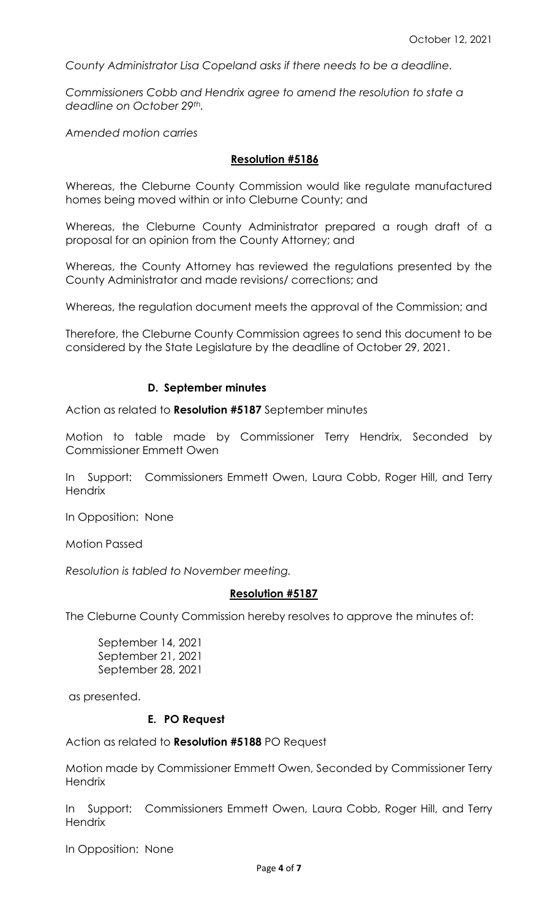*County Administrator Lisa Copeland asks if there needs to be a deadline.*

*Commissioners Cobb and Hendrix agree to amend the resolution to state a deadline on October 29th.*

*Amended motion carries*

#### **Resolution #5186**

Whereas, the Cleburne County Commission would like regulate manufactured homes being moved within or into Cleburne County; and

Whereas, the Cleburne County Administrator prepared a rough draft of a proposal for an opinion from the County Attorney; and

Whereas, the County Attorney has reviewed the regulations presented by the County Administrator and made revisions/ corrections; and

Whereas, the regulation document meets the approval of the Commission; and

Therefore, the Cleburne County Commission agrees to send this document to be considered by the State Legislature by the deadline of October 29, 2021.

#### **D. September minutes**

Action as related to **Resolution #5187** September minutes

Motion to table made by Commissioner Terry Hendrix, Seconded by Commissioner Emmett Owen

In Support: Commissioners Emmett Owen, Laura Cobb, Roger Hill, and Terry **Hendrix** 

In Opposition: None

Motion Passed

*Resolution is tabled to November meeting.*

#### **Resolution #5187**

The Cleburne County Commission hereby resolves to approve the minutes of:

September 14, 2021 September 21, 2021 September 28, 2021

as presented.

### **E. PO Request**

Action as related to **Resolution #5188** PO Request

Motion made by Commissioner Emmett Owen, Seconded by Commissioner Terry **Hendrix** 

In Support: Commissioners Emmett Owen, Laura Cobb, Roger Hill, and Terry **Hendrix** 

In Opposition: None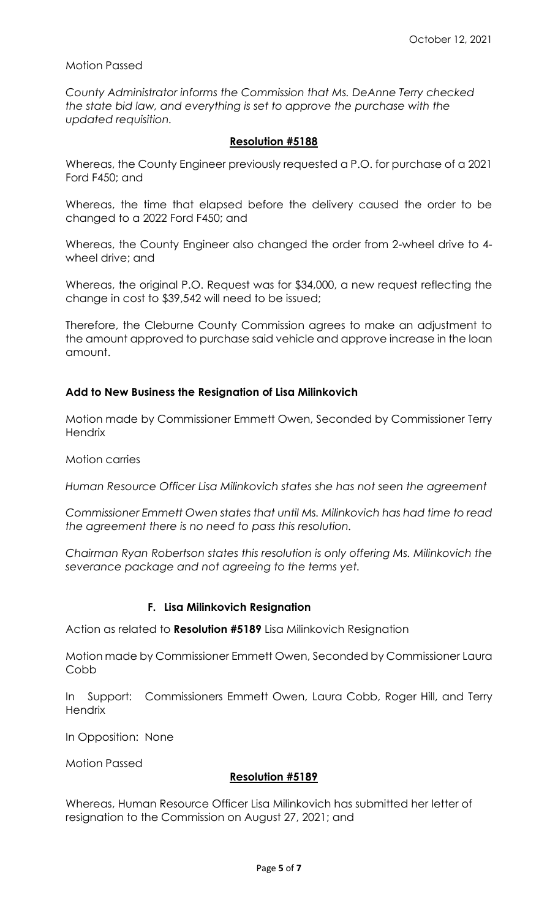## Motion Passed

*County Administrator informs the Commission that Ms. DeAnne Terry checked the state bid law, and everything is set to approve the purchase with the updated requisition.* 

## **Resolution #5188**

Whereas, the County Engineer previously requested a P.O. for purchase of a 2021 Ford F450; and

Whereas, the time that elapsed before the delivery caused the order to be changed to a 2022 Ford F450; and

Whereas, the County Engineer also changed the order from 2-wheel drive to 4 wheel drive; and

Whereas, the original P.O. Request was for \$34,000, a new request reflecting the change in cost to \$39,542 will need to be issued;

Therefore, the Cleburne County Commission agrees to make an adjustment to the amount approved to purchase said vehicle and approve increase in the loan amount.

## **Add to New Business the Resignation of Lisa Milinkovich**

Motion made by Commissioner Emmett Owen, Seconded by Commissioner Terry **Hendrix** 

Motion carries

*Human Resource Officer Lisa Milinkovich states she has not seen the agreement*

*Commissioner Emmett Owen states that until Ms. Milinkovich has had time to read the agreement there is no need to pass this resolution.*

*Chairman Ryan Robertson states this resolution is only offering Ms. Milinkovich the severance package and not agreeing to the terms yet.*

# **F. Lisa Milinkovich Resignation**

Action as related to **Resolution #5189** Lisa Milinkovich Resignation

Motion made by Commissioner Emmett Owen, Seconded by Commissioner Laura Cobb

In Support: Commissioners Emmett Owen, Laura Cobb, Roger Hill, and Terry **Hendrix** 

In Opposition: None

Motion Passed

### **Resolution #5189**

Whereas, Human Resource Officer Lisa Milinkovich has submitted her letter of resignation to the Commission on August 27, 2021; and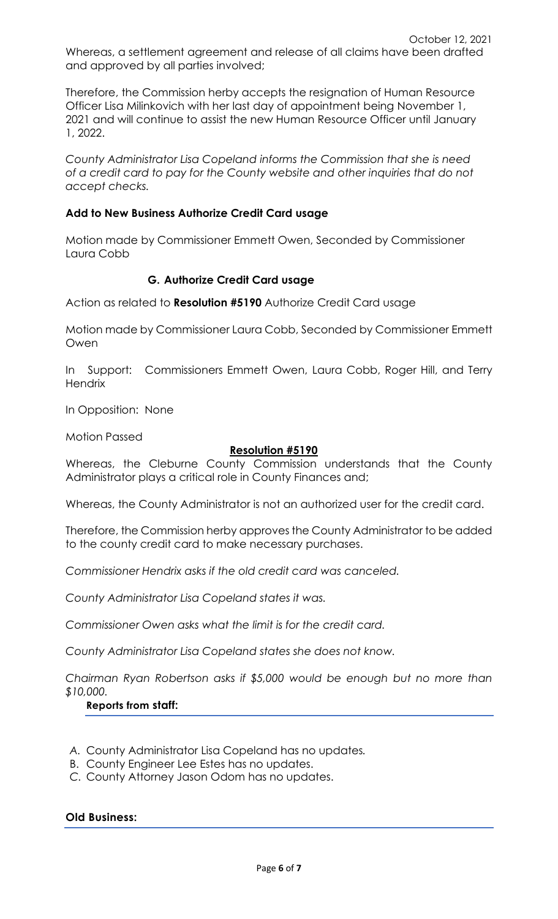Therefore, the Commission herby accepts the resignation of Human Resource Officer Lisa Milinkovich with her last day of appointment being November 1, 2021 and will continue to assist the new Human Resource Officer until January 1, 2022.

*County Administrator Lisa Copeland informs the Commission that she is need of a credit card to pay for the County website and other inquiries that do not accept checks.*

# **Add to New Business Authorize Credit Card usage**

Motion made by Commissioner Emmett Owen, Seconded by Commissioner Laura Cobb

# **G. Authorize Credit Card usage**

Action as related to **Resolution #5190** Authorize Credit Card usage

Motion made by Commissioner Laura Cobb, Seconded by Commissioner Emmett Owen

In Support: Commissioners Emmett Owen, Laura Cobb, Roger Hill, and Terry **Hendrix** 

In Opposition: None

Motion Passed

# **Resolution #5190**

Whereas, the Cleburne County Commission understands that the County Administrator plays a critical role in County Finances and;

Whereas, the County Administrator is not an authorized user for the credit card.

Therefore, the Commission herby approves the County Administrator to be added to the county credit card to make necessary purchases.

*Commissioner Hendrix asks if the old credit card was canceled.*

*County Administrator Lisa Copeland states it was.*

*Commissioner Owen asks what the limit is for the credit card.*

*County Administrator Lisa Copeland states she does not know.*

*Chairman Ryan Robertson asks if \$5,000 would be enough but no more than \$10,000.*

# **Reports from staff:**

- *A.* County Administrator Lisa Copeland has no updates*.*
- B. County Engineer Lee Estes has no updates.
- *C.* County Attorney Jason Odom has no updates.

### **Old Business:**